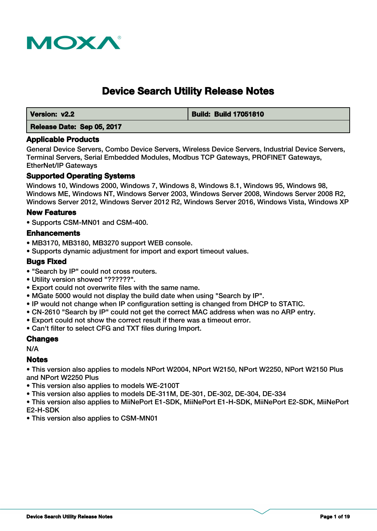

# **Device Search Utility Release Notes**

 **Version: v2.2 Build: Build 17051810**

# **Release Date: Sep 05, 2017**

#### **Applicable Products**

General Device Servers, Combo Device Servers, Wireless Device Servers, Industrial Device Servers, Terminal Servers, Serial Embedded Modules, Modbus TCP Gateways, PROFINET Gateways, EtherNet/IP Gateways

### **Supported Operating Systems**

Windows 10, Windows 2000, Windows 7, Windows 8, Windows 8.1, Windows 95, Windows 98, Windows ME, Windows NT, Windows Server 2003, Windows Server 2008, Windows Server 2008 R2, Windows Server 2012, Windows Server 2012 R2, Windows Server 2016, Windows Vista, Windows XP

### **New Features**

• Supports CSM-MN01 and CSM-400.

#### **Enhancements**

- MB3170, MB3180, MB3270 support WEB console.
- Supports dynamic adjustment for import and export timeout values.

### **Bugs Fixed**

- "Search by IP" could not cross routers.
- Utility version showed "??????".
- Export could not overwrite files with the same name.
- MGate 5000 would not display the build date when using "Search by IP".
- IP would not change when IP configuration setting is changed from DHCP to STATIC.
- CN-2610 "Search by IP" could not get the correct MAC address when was no ARP entry.
- Export could not show the correct result if there was a timeout error.
- Can't filter to select CFG and TXT files during Import.

### **Changes**

N/A

### **Notes**

• This version also applies to models NPort W2004, NPort W2150, NPort W2250, NPort W2150 Plus and NPort W2250 Plus

- This version also applies to models WE-2100T
- This version also applies to models DE-311M, DE-301, DE-302, DE-304, DE-334

• This version also applies to MiiNePort E1-SDK, MiiNePort E1-H-SDK, MiiNePort E2-SDK, MiiNePort E2-H-SDK

• This version also applies to CSM-MN01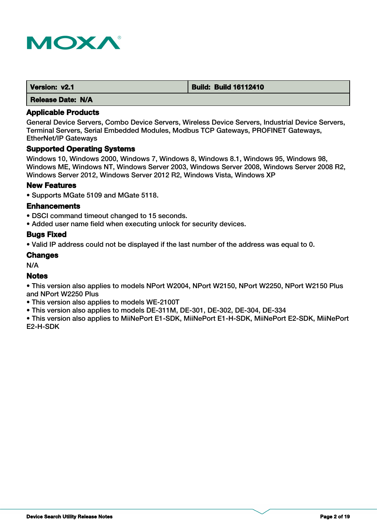

| Version: v2.1     | <b>Build: Build 16112410</b> |
|-------------------|------------------------------|
| Release Date: N/A |                              |

General Device Servers, Combo Device Servers, Wireless Device Servers, Industrial Device Servers, Terminal Servers, Serial Embedded Modules, Modbus TCP Gateways, PROFINET Gateways, EtherNet/IP Gateways

#### **Supported Operating Systems**

Windows 10, Windows 2000, Windows 7, Windows 8, Windows 8.1, Windows 95, Windows 98, Windows ME, Windows NT, Windows Server 2003, Windows Server 2008, Windows Server 2008 R2, Windows Server 2012, Windows Server 2012 R2, Windows Vista, Windows XP

#### **New Features**

• Supports MGate 5109 and MGate 5118.

#### **Enhancements**

- DSCI command timeout changed to 15 seconds.
- Added user name field when executing unlock for security devices.

#### **Bugs Fixed**

• Valid IP address could not be displayed if the last number of the address was equal to 0.

#### **Changes**

N/A

### **Notes**

• This version also applies to models NPort W2004, NPort W2150, NPort W2250, NPort W2150 Plus and NPort W2250 Plus

- This version also applies to models WE-2100T
- This version also applies to models DE-311M, DE-301, DE-302, DE-304, DE-334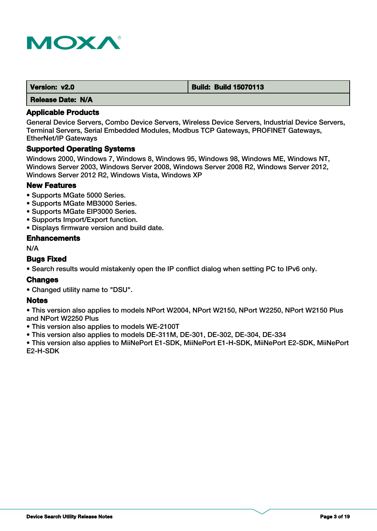

| Version: v2.0            | <b>Build: Build 15070113</b> |
|--------------------------|------------------------------|
| <b>Release Date: N/A</b> |                              |

General Device Servers, Combo Device Servers, Wireless Device Servers, Industrial Device Servers, Terminal Servers, Serial Embedded Modules, Modbus TCP Gateways, PROFINET Gateways, EtherNet/IP Gateways

# **Supported Operating Systems**

Windows 2000, Windows 7, Windows 8, Windows 95, Windows 98, Windows ME, Windows NT, Windows Server 2003, Windows Server 2008, Windows Server 2008 R2, Windows Server 2012, Windows Server 2012 R2, Windows Vista, Windows XP

# **New Features**

- Supports MGate 5000 Series.
- Supports MGate MB3000 Series.
- Supports MGate EIP3000 Series.
- Supports Import/Export function.
- Displays firmware version and build date.

### **Enhancements**

N/A

# **Bugs Fixed**

• Search results would mistakenly open the IP conflict dialog when setting PC to IPv6 only.

### **Changes**

• Changed utility name to "DSU".

### **Notes**

• This version also applies to models NPort W2004, NPort W2150, NPort W2250, NPort W2150 Plus and NPort W2250 Plus

• This version also applies to models WE-2100T

• This version also applies to models DE-311M, DE-301, DE-302, DE-304, DE-334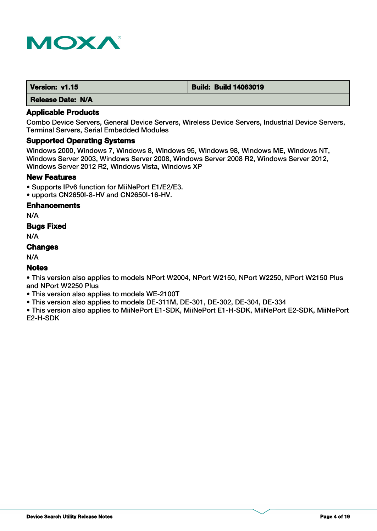

| Version: v1.15 | <b>Build: Build 14063019</b> |
|----------------|------------------------------|
|                |                              |

#### **Applicable Products**

Combo Device Servers, General Device Servers, Wireless Device Servers, Industrial Device Servers, Terminal Servers, Serial Embedded Modules

# **Supported Operating Systems**

Windows 2000, Windows 7, Windows 8, Windows 95, Windows 98, Windows ME, Windows NT, Windows Server 2003, Windows Server 2008, Windows Server 2008 R2, Windows Server 2012, Windows Server 2012 R2, Windows Vista, Windows XP

#### **New Features**

- Supports IPv6 function for MiiNePort E1/E2/E3.
- upports CN2650I-8-HV and CN2650I-16-HV.

#### **Enhancements**

N/A

### **Bugs Fixed**

N/A

### **Changes**

N/A

### **Notes**

• This version also applies to models NPort W2004, NPort W2150, NPort W2250, NPort W2150 Plus and NPort W2250 Plus

• This version also applies to models WE-2100T

• This version also applies to models DE-311M, DE-301, DE-302, DE-304, DE-334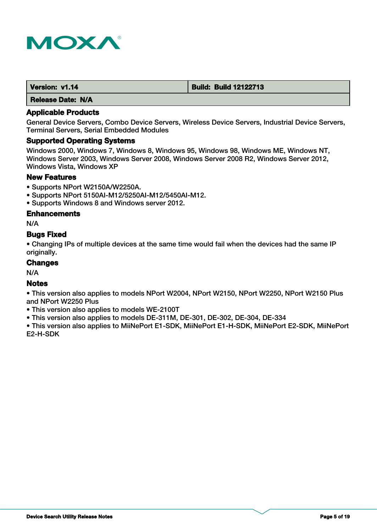

| Version: v1.14 | <b>Build: Build 12122713</b> |
|----------------|------------------------------|
|                |                              |

# **Applicable Products**

General Device Servers, Combo Device Servers, Wireless Device Servers, Industrial Device Servers, Terminal Servers, Serial Embedded Modules

#### **Supported Operating Systems**

Windows 2000, Windows 7, Windows 8, Windows 95, Windows 98, Windows ME, Windows NT, Windows Server 2003, Windows Server 2008, Windows Server 2008 R2, Windows Server 2012, Windows Vista, Windows XP

# **New Features**

- Supports NPort W2150A/W2250A.
- Supports NPort 5150AI-M12/5250AI-M12/5450AI-M12.
- Supports Windows 8 and Windows server 2012.

#### **Enhancements**

N/A

### **Bugs Fixed**

• Changing IPs of multiple devices at the same time would fail when the devices had the same IP originally.

# **Changes**

N/A

# **Notes**

• This version also applies to models NPort W2004, NPort W2150, NPort W2250, NPort W2150 Plus and NPort W2250 Plus

- This version also applies to models WE-2100T
- This version also applies to models DE-311M, DE-301, DE-302, DE-304, DE-334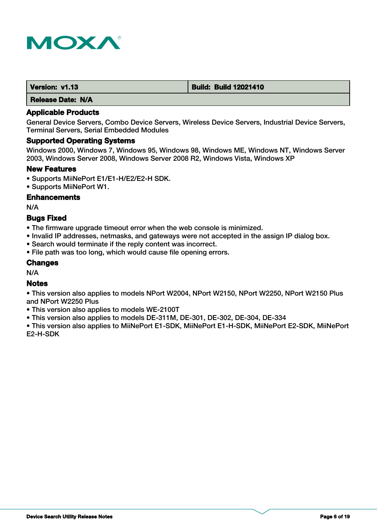

| Version: v1.13 | <b>Build: Build 12021410</b> |
|----------------|------------------------------|
|                |                              |

# **Applicable Products**

General Device Servers, Combo Device Servers, Wireless Device Servers, Industrial Device Servers, Terminal Servers, Serial Embedded Modules

#### **Supported Operating Systems**

Windows 2000, Windows 7, Windows 95, Windows 98, Windows ME, Windows NT, Windows Server 2003, Windows Server 2008, Windows Server 2008 R2, Windows Vista, Windows XP

#### **New Features**

• Supports MiiNePort E1/E1-H/E2/E2-H SDK.

• Supports MiiNePort W1.

#### **Enhancements**

N/A

### **Bugs Fixed**

- The firmware upgrade timeout error when the web console is minimized.
- Invalid IP addresses, netmasks, and gateways were not accepted in the assign IP dialog box.
- Search would terminate if the reply content was incorrect.
- File path was too long, which would cause file opening errors.

# **Changes**

N/A

# **Notes**

• This version also applies to models NPort W2004, NPort W2150, NPort W2250, NPort W2150 Plus and NPort W2250 Plus

- This version also applies to models WE-2100T
- This version also applies to models DE-311M, DE-301, DE-302, DE-304, DE-334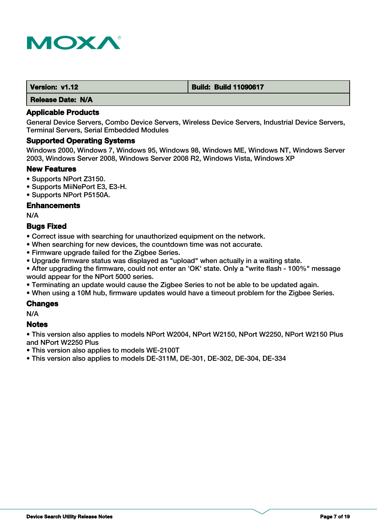

| Version: v1.12 | <b>Build: Build 11090617</b> |
|----------------|------------------------------|
| ----           |                              |

### **Applicable Products**

General Device Servers, Combo Device Servers, Wireless Device Servers, Industrial Device Servers, Terminal Servers, Serial Embedded Modules

#### **Supported Operating Systems**

Windows 2000, Windows 7, Windows 95, Windows 98, Windows ME, Windows NT, Windows Server 2003, Windows Server 2008, Windows Server 2008 R2, Windows Vista, Windows XP

#### **New Features**

- Supports NPort Z3150.
- Supports MiiNePort E3, E3-H.
- Supports NPort P5150A.

#### **Enhancements**

N/A

# **Bugs Fixed**

• Correct issue with searching for unauthorized equipment on the network.

- When searching for new devices, the countdown time was not accurate.
- Firmware upgrade failed for the Zigbee Series.
- Upgrade firmware status was displayed as "upload" when actually in a waiting state.
- After upgrading the firmware, could not enter an 'OK' state. Only a "write flash 100%" message would appear for the NPort 5000 series.
- Terminating an update would cause the Zigbee Series to not be able to be updated again.
- When using a 10M hub, firmware updates would have a timeout problem for the Zigbee Series.

### **Changes**

N/A

### **Notes**

• This version also applies to models NPort W2004, NPort W2150, NPort W2250, NPort W2150 Plus and NPort W2250 Plus

• This version also applies to models WE-2100T

• This version also applies to models DE-311M, DE-301, DE-302, DE-304, DE-334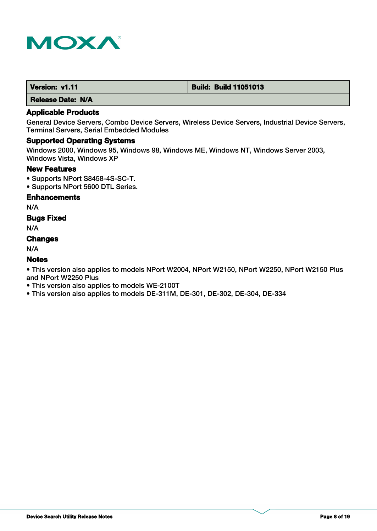

| Version: v1.11 | <b>Build: Build 11051013</b> |
|----------------|------------------------------|
|----------------|------------------------------|

# **Applicable Products**

General Device Servers, Combo Device Servers, Wireless Device Servers, Industrial Device Servers, Terminal Servers, Serial Embedded Modules

# **Supported Operating Systems**

Windows 2000, Windows 95, Windows 98, Windows ME, Windows NT, Windows Server 2003, Windows Vista, Windows XP

#### **New Features**

- Supports NPort S8458-4S-SC-T.
- Supports NPort 5600 DTL Series.

#### **Enhancements**

N/A

# **Bugs Fixed**

N/A

### **Changes**

N/A

# **Notes**

- This version also applies to models WE-2100T
- This version also applies to models DE-311M, DE-301, DE-302, DE-304, DE-334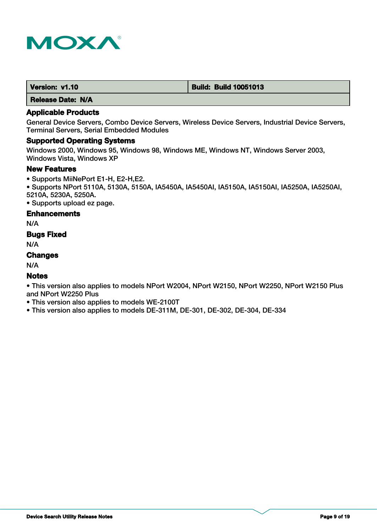

# **Applicable Products**

General Device Servers, Combo Device Servers, Wireless Device Servers, Industrial Device Servers, Terminal Servers, Serial Embedded Modules

# **Supported Operating Systems**

Windows 2000, Windows 95, Windows 98, Windows ME, Windows NT, Windows Server 2003, Windows Vista, Windows XP

#### **New Features**

• Supports MiiNePort E1-H, E2-H,E2.

• Supports NPort 5110A, 5130A, 5150A, IA5450A, IA5450AI, IA5150A, IA5150AI, IA5250A, IA5250AI, 5210A, 5230A, 5250A.

• Supports upload ez page.

#### **Enhancements**

N/A

### **Bugs Fixed**

N/A

# **Changes**

N/A

### **Notes**

• This version also applies to models NPort W2004, NPort W2150, NPort W2250, NPort W2150 Plus and NPort W2250 Plus

• This version also applies to models WE-2100T

• This version also applies to models DE-311M, DE-301, DE-302, DE-304, DE-334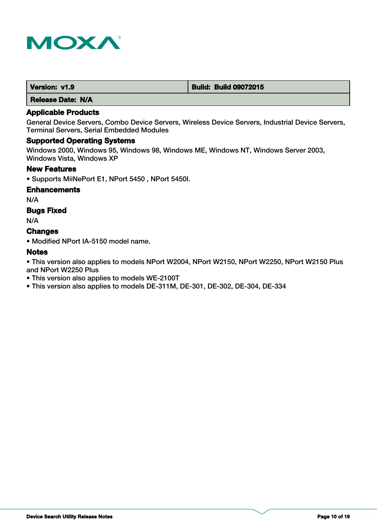

| Version: v1.9 | <b>Build: Build 09072015</b> |
|---------------|------------------------------|
|---------------|------------------------------|

# **Applicable Products**

General Device Servers, Combo Device Servers, Wireless Device Servers, Industrial Device Servers, Terminal Servers, Serial Embedded Modules

### **Supported Operating Systems**

Windows 2000, Windows 95, Windows 98, Windows ME, Windows NT, Windows Server 2003, Windows Vista, Windows XP

#### **New Features**

• Supports MiiNePort E1, NPort 5450 , NPort 5450I.

#### **Enhancements**

N/A

# **Bugs Fixed**

N/A

### **Changes**

• Modified NPort IA-5150 model name.

### **Notes**

- This version also applies to models WE-2100T
- This version also applies to models DE-311M, DE-301, DE-302, DE-304, DE-334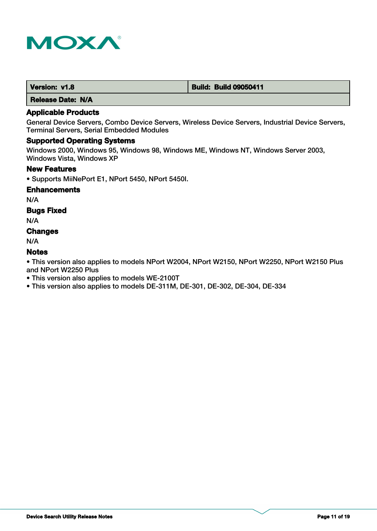

| Version: v1.8 | <b>Build: Build 09050411</b> |
|---------------|------------------------------|
|---------------|------------------------------|

# **Applicable Products**

General Device Servers, Combo Device Servers, Wireless Device Servers, Industrial Device Servers, Terminal Servers, Serial Embedded Modules

### **Supported Operating Systems**

Windows 2000, Windows 95, Windows 98, Windows ME, Windows NT, Windows Server 2003, Windows Vista, Windows XP

#### **New Features**

• Supports MiiNePort E1, NPort 5450, NPort 5450I.

#### **Enhancements**

N/A

# **Bugs Fixed**

N/A

# **Changes**

N/A

# **Notes**

- This version also applies to models WE-2100T
- This version also applies to models DE-311M, DE-301, DE-302, DE-304, DE-334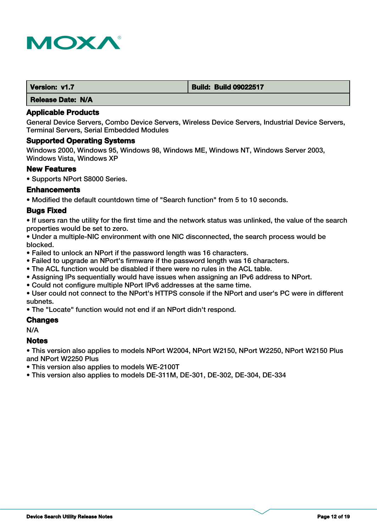

| Version: v1.7            | <b>Build: Build 09022517</b> |
|--------------------------|------------------------------|
| <b>Release Date: N/A</b> |                              |

General Device Servers, Combo Device Servers, Wireless Device Servers, Industrial Device Servers, Terminal Servers, Serial Embedded Modules

#### **Supported Operating Systems**

Windows 2000, Windows 95, Windows 98, Windows ME, Windows NT, Windows Server 2003, Windows Vista, Windows XP

#### **New Features**

• Supports NPort S8000 Series.

#### **Enhancements**

• Modified the default countdown time of "Search function" from 5 to 10 seconds.

#### **Bugs Fixed**

• If users ran the utility for the first time and the network status was unlinked, the value of the search properties would be set to zero.

• Under a multiple-NIC environment with one NIC disconnected, the search process would be blocked.

- Failed to unlock an NPort if the password length was 16 characters.
- Failed to upgrade an NPort's firmware if the password length was 16 characters.
- The ACL function would be disabled if there were no rules in the ACL table.
- Assigning IPs sequentially would have issues when assigning an IPv6 address to NPort.
- Could not configure multiple NPort IPv6 addresses at the same time.

• User could not connect to the NPort's HTTPS console if the NPort and user's PC were in different subnets.

• The "Locate" function would not end if an NPort didn't respond.

#### **Changes**

N/A

#### **Notes**

- This version also applies to models WE-2100T
- This version also applies to models DE-311M, DE-301, DE-302, DE-304, DE-334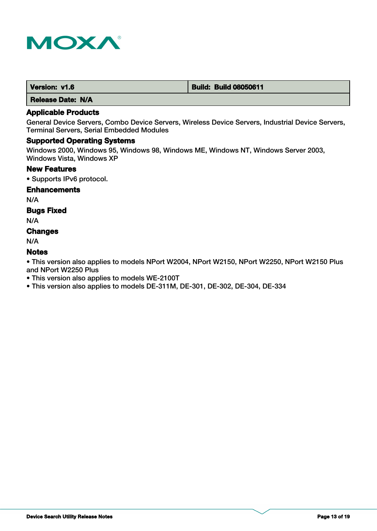

| Version: v1.6 | <b>Build: Build 08050611</b> |
|---------------|------------------------------|
|               |                              |

# **Applicable Products**

General Device Servers, Combo Device Servers, Wireless Device Servers, Industrial Device Servers, Terminal Servers, Serial Embedded Modules

# **Supported Operating Systems**

Windows 2000, Windows 95, Windows 98, Windows ME, Windows NT, Windows Server 2003, Windows Vista, Windows XP

#### **New Features**

• Supports IPv6 protocol.

#### **Enhancements**

N/A

# **Bugs Fixed**

N/A

# **Changes**

N/A

# **Notes**

- This version also applies to models WE-2100T
- This version also applies to models DE-311M, DE-301, DE-302, DE-304, DE-334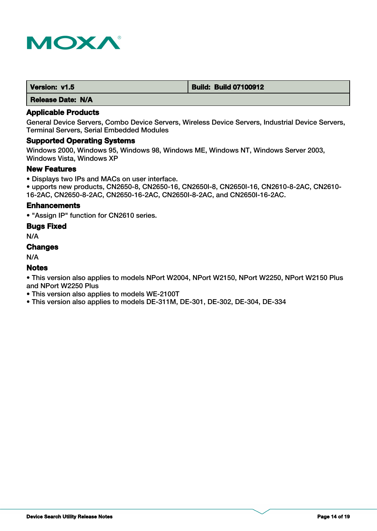

| Version: v1.5 | <b>Build: Build 07100912</b> |
|---------------|------------------------------|
|               |                              |

#### **Applicable Products**

General Device Servers, Combo Device Servers, Wireless Device Servers, Industrial Device Servers, Terminal Servers, Serial Embedded Modules

### **Supported Operating Systems**

Windows 2000, Windows 95, Windows 98, Windows ME, Windows NT, Windows Server 2003, Windows Vista, Windows XP

#### **New Features**

• Displays two IPs and MACs on user interface.

• upports new products, CN2650-8, CN2650-16, CN2650I-8, CN2650I-16, CN2610-8-2AC, CN2610- 16-2AC, CN2650-8-2AC, CN2650-16-2AC, CN2650I-8-2AC, and CN2650I-16-2AC.

### **Enhancements**

• "Assign IP" function for CN2610 series.

#### **Bugs Fixed**

N/A

### **Changes**

N/A

### **Notes**

• This version also applies to models NPort W2004, NPort W2150, NPort W2250, NPort W2150 Plus and NPort W2250 Plus

• This version also applies to models WE-2100T

• This version also applies to models DE-311M, DE-301, DE-302, DE-304, DE-334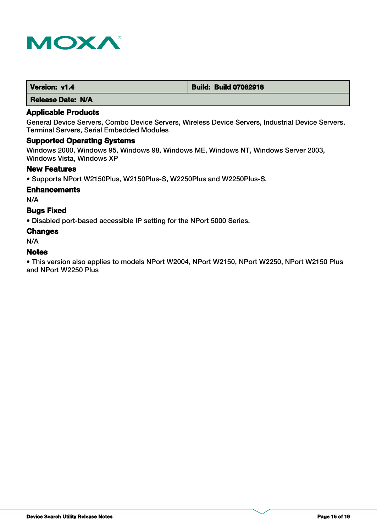

| Version: v1.4 | <b>Build: Build 07082918</b> |
|---------------|------------------------------|
|               |                              |

# **Applicable Products**

General Device Servers, Combo Device Servers, Wireless Device Servers, Industrial Device Servers, Terminal Servers, Serial Embedded Modules

#### **Supported Operating Systems**

Windows 2000, Windows 95, Windows 98, Windows ME, Windows NT, Windows Server 2003, Windows Vista, Windows XP

#### **New Features**

• Supports NPort W2150Plus, W2150Plus-S, W2250Plus and W2250Plus-S.

#### **Enhancements**

N/A

### **Bugs Fixed**

• Disabled port-based accessible IP setting for the NPort 5000 Series.

#### **Changes**

N/A

### **Notes**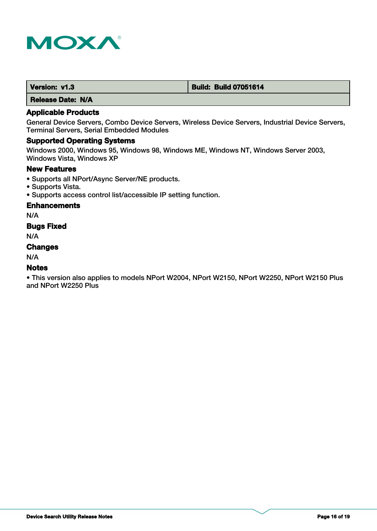

| Version: v1.3 | <b>Build: Build 07051614</b> |
|---------------|------------------------------|
|---------------|------------------------------|

# **Applicable Products**

General Device Servers, Combo Device Servers, Wireless Device Servers, Industrial Device Servers, Terminal Servers, Serial Embedded Modules

# **Supported Operating Systems**

Windows 2000, Windows 95, Windows 98, Windows ME, Windows NT, Windows Server 2003, Windows Vista, Windows XP

#### **New Features**

- Supports all NPort/Async Server/NE products.
- Supports Vista.
- Supports access control list/accessible IP setting function.

#### **Enhancements**

N/A

# **Bugs Fixed**

N/A

# **Changes**

N/A

# **Notes**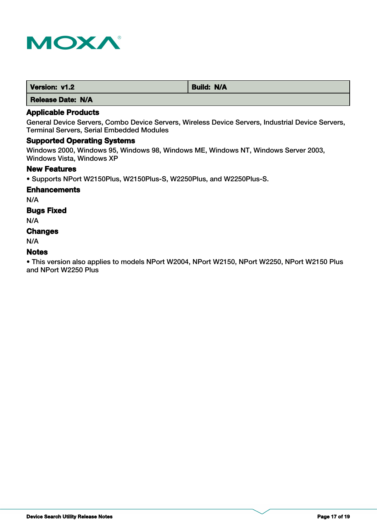

| Version: v1.2 | <b>Build: N/A</b> |
|---------------|-------------------|
| ----<br>__    |                   |

# **Applicable Products**

General Device Servers, Combo Device Servers, Wireless Device Servers, Industrial Device Servers, Terminal Servers, Serial Embedded Modules

### **Supported Operating Systems**

Windows 2000, Windows 95, Windows 98, Windows ME, Windows NT, Windows Server 2003, Windows Vista, Windows XP

#### **New Features**

• Supports NPort W2150Plus, W2150Plus-S, W2250Plus, and W2250Plus-S.

#### **Enhancements**

N/A

# **Bugs Fixed**

N/A

# **Changes**

N/A

# **Notes**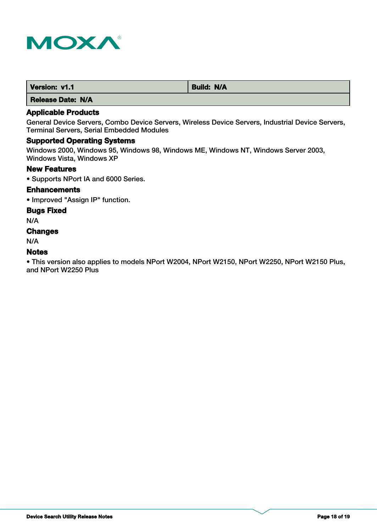

| Version: v1.1 | <b>N/A</b><br><b>Build:</b> |
|---------------|-----------------------------|
| ----<br>__    |                             |

# **Applicable Products**

General Device Servers, Combo Device Servers, Wireless Device Servers, Industrial Device Servers, Terminal Servers, Serial Embedded Modules

# **Supported Operating Systems**

Windows 2000, Windows 95, Windows 98, Windows ME, Windows NT, Windows Server 2003, Windows Vista, Windows XP

#### **New Features**

• Supports NPort IA and 6000 Series.

### **Enhancements**

• Improved "Assign IP" function.

#### **Bugs Fixed**

N/A

# **Changes**

N/A

### **Notes**